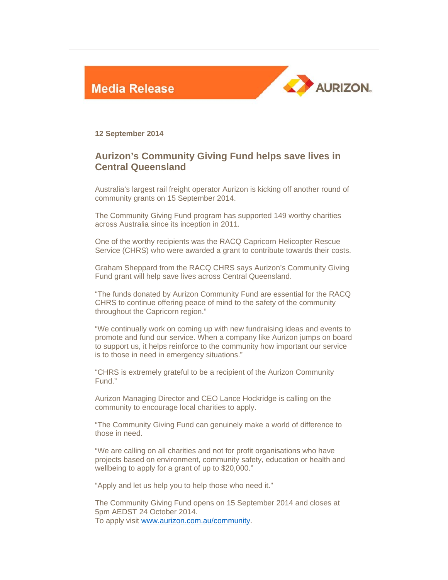



**12 September 2014** 

## **Aurizon's Community Giving Fund helps save lives in Central Queensland**

Australia's largest rail freight operator Aurizon is kicking off another round of community grants on 15 September 2014.

The Community Giving Fund program has supported 149 worthy charities across Australia since its inception in 2011.

One of the worthy recipients was the RACQ Capricorn Helicopter Rescue Service (CHRS) who were awarded a grant to contribute towards their costs.

Graham Sheppard from the RACQ CHRS says Aurizon's Community Giving Fund grant will help save lives across Central Queensland.

"The funds donated by Aurizon Community Fund are essential for the RACQ CHRS to continue offering peace of mind to the safety of the community throughout the Capricorn region."

"We continually work on coming up with new fundraising ideas and events to promote and fund our service. When a company like Aurizon jumps on board to support us, it helps reinforce to the community how important our service is to those in need in emergency situations."

"CHRS is extremely grateful to be a recipient of the Aurizon Community Fund."

Aurizon Managing Director and CEO Lance Hockridge is calling on the community to encourage local charities to apply.

"The Community Giving Fund can genuinely make a world of difference to those in need.

"We are calling on all charities and not for profit organisations who have projects based on environment, community safety, education or health and wellbeing to apply for a grant of up to \$20,000."

"Apply and let us help you to help those who need it."

The Community Giving Fund opens on 15 September 2014 and closes at 5pm AEDST 24 October 2014. To apply visit www.aurizon.com.au/community.